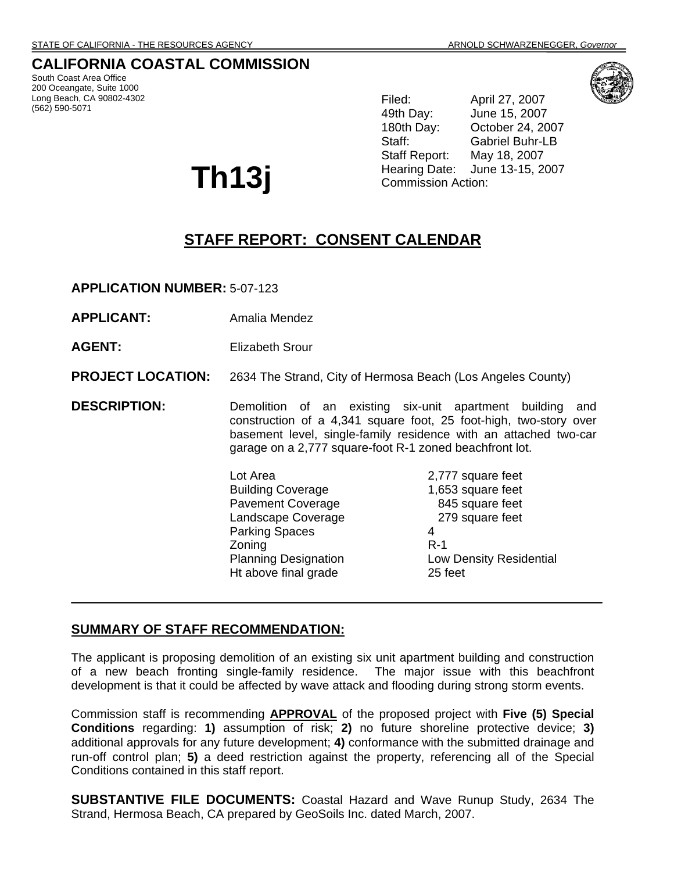## **CALIFORNIA COASTAL COMMISSION**

South Coast Area Office 200 Oceangate, Suite 1000 Long Beach, CA 90802-4302 (562) 590-5071

**Th13j** 

Filed: April 27, 2007 49th Day: June 15, 2007 180th Day: October 24, 2007 Staff: Gabriel Buhr-LB Staff Report: May 18, 2007 Hearing Date: June 13-15, 2007 Commission Action:

# **STAFF REPORT: CONSENT CALENDAR**

**APPLICATION NUMBER:** 5-07-123

- **APPLICANT:** Amalia Mendez
- **AGENT:** Elizabeth Srour

**PROJECT LOCATION:** 2634 The Strand, City of Hermosa Beach (Los Angeles County)

**DESCRIPTION:** Demolition of an existing six-unit apartment building and construction of a 4,341 square foot, 25 foot-high, two-story over basement level, single-family residence with an attached two-car garage on a 2,777 square-foot R-1 zoned beachfront lot.

> Lot Area 2,777 square feet Building Coverage 1,653 square feet Pavement Coverage 845 square feet Landscape Coverage 279 square feet Parking Spaces 4 Zoning R-1 Ht above final grade 25 feet

Planning Designation **Low Density Residential** 

### **SUMMARY OF STAFF RECOMMENDATION:**

The applicant is proposing demolition of an existing six unit apartment building and construction of a new beach fronting single-family residence. The major issue with this beachfront development is that it could be affected by wave attack and flooding during strong storm events.

Commission staff is recommending **APPROVAL** of the proposed project with **Five (5) Special Conditions** regarding: **1)** assumption of risk; **2)** no future shoreline protective device; **3)** additional approvals for any future development; **4)** conformance with the submitted drainage and run-off control plan; **5)** a deed restriction against the property, referencing all of the Special Conditions contained in this staff report.

**SUBSTANTIVE FILE DOCUMENTS:** Coastal Hazard and Wave Runup Study, 2634 The Strand, Hermosa Beach, CA prepared by GeoSoils Inc. dated March, 2007.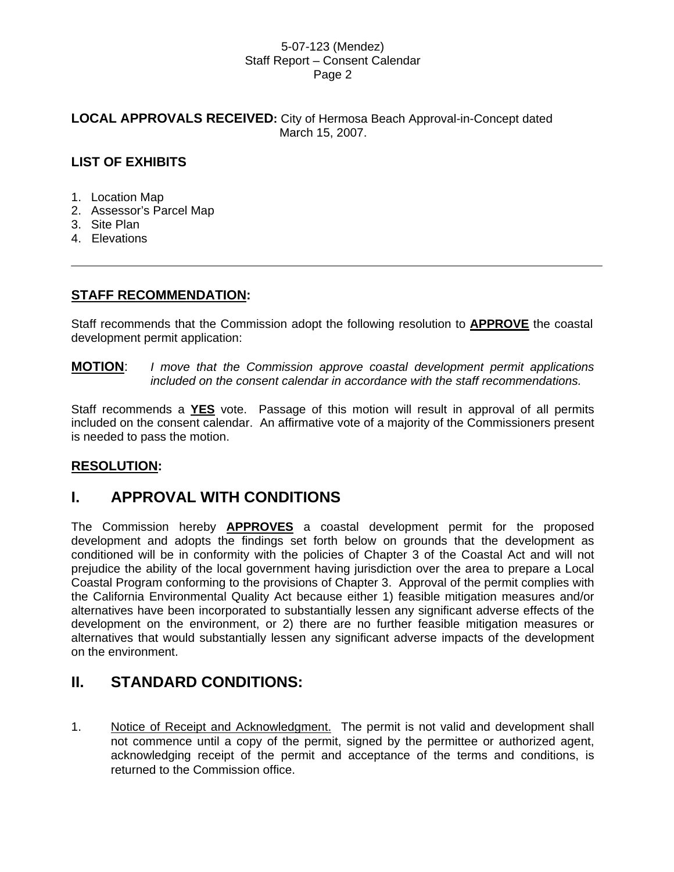### **LOCAL APPROVALS RECEIVED:** City of Hermosa Beach Approval-in-Concept dated March 15, 2007.

## **LIST OF EXHIBITS**

- 1. Location Map
- 2. Assessor's Parcel Map
- 3. Site Plan
- 4. Elevations

## **STAFF RECOMMENDATION:**

Staff recommends that the Commission adopt the following resolution to **APPROVE** the coastal development permit application:

**MOTION**: *I move that the Commission approve coastal development permit applications included on the consent calendar in accordance with the staff recommendations.* 

Staff recommends a **YES** vote. Passage of this motion will result in approval of all permits included on the consent calendar. An affirmative vote of a majority of the Commissioners present is needed to pass the motion.

## **RESOLUTION:**

## **I. APPROVAL WITH CONDITIONS**

The Commission hereby **APPROVES** a coastal development permit for the proposed development and adopts the findings set forth below on grounds that the development as conditioned will be in conformity with the policies of Chapter 3 of the Coastal Act and will not prejudice the ability of the local government having jurisdiction over the area to prepare a Local Coastal Program conforming to the provisions of Chapter 3. Approval of the permit complies with the California Environmental Quality Act because either 1) feasible mitigation measures and/or alternatives have been incorporated to substantially lessen any significant adverse effects of the development on the environment, or 2) there are no further feasible mitigation measures or alternatives that would substantially lessen any significant adverse impacts of the development on the environment.

## **II. STANDARD CONDITIONS:**

1. Notice of Receipt and Acknowledgment. The permit is not valid and development shall not commence until a copy of the permit, signed by the permittee or authorized agent, acknowledging receipt of the permit and acceptance of the terms and conditions, is returned to the Commission office.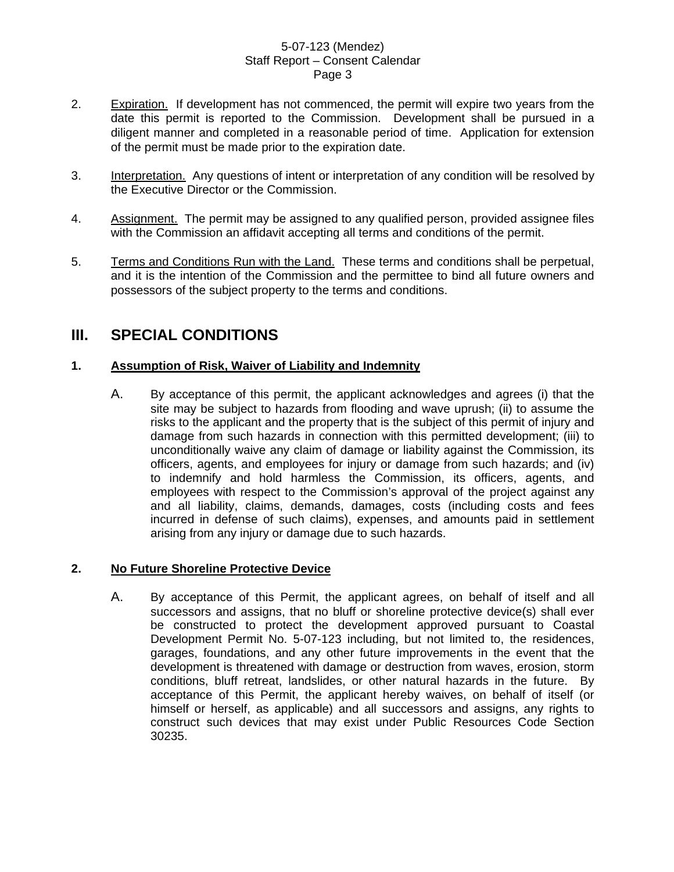- 2. Expiration. If development has not commenced, the permit will expire two years from the date this permit is reported to the Commission. Development shall be pursued in a diligent manner and completed in a reasonable period of time. Application for extension of the permit must be made prior to the expiration date.
- 3. Interpretation. Any questions of intent or interpretation of any condition will be resolved by the Executive Director or the Commission.
- 4. Assignment. The permit may be assigned to any qualified person, provided assignee files with the Commission an affidavit accepting all terms and conditions of the permit.
- 5. Terms and Conditions Run with the Land. These terms and conditions shall be perpetual, and it is the intention of the Commission and the permittee to bind all future owners and possessors of the subject property to the terms and conditions.

## **III. SPECIAL CONDITIONS**

## **1. Assumption of Risk, Waiver of Liability and Indemnity**

A. By acceptance of this permit, the applicant acknowledges and agrees (i) that the site may be subject to hazards from flooding and wave uprush; (ii) to assume the risks to the applicant and the property that is the subject of this permit of injury and damage from such hazards in connection with this permitted development; (iii) to unconditionally waive any claim of damage or liability against the Commission, its officers, agents, and employees for injury or damage from such hazards; and (iv) to indemnify and hold harmless the Commission, its officers, agents, and employees with respect to the Commission's approval of the project against any and all liability, claims, demands, damages, costs (including costs and fees incurred in defense of such claims), expenses, and amounts paid in settlement arising from any injury or damage due to such hazards.

## **2. No Future Shoreline Protective Device**

A. By acceptance of this Permit, the applicant agrees, on behalf of itself and all successors and assigns, that no bluff or shoreline protective device(s) shall ever be constructed to protect the development approved pursuant to Coastal Development Permit No. 5-07-123 including, but not limited to, the residences, garages, foundations, and any other future improvements in the event that the development is threatened with damage or destruction from waves, erosion, storm conditions, bluff retreat, landslides, or other natural hazards in the future. By acceptance of this Permit, the applicant hereby waives, on behalf of itself (or himself or herself, as applicable) and all successors and assigns, any rights to construct such devices that may exist under Public Resources Code Section 30235.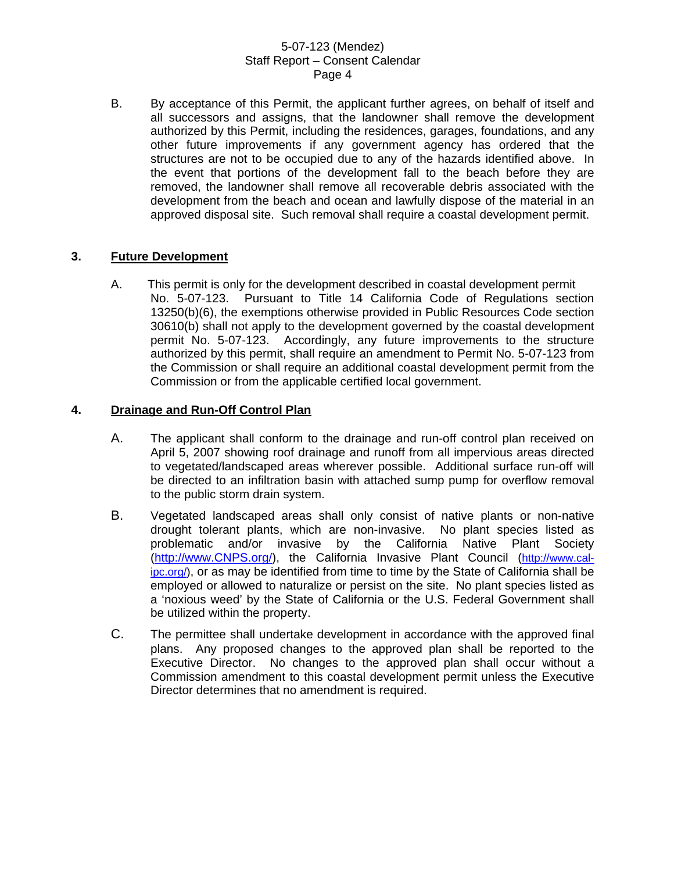B. By acceptance of this Permit, the applicant further agrees, on behalf of itself and all successors and assigns, that the landowner shall remove the development authorized by this Permit, including the residences, garages, foundations, and any other future improvements if any government agency has ordered that the structures are not to be occupied due to any of the hazards identified above. In the event that portions of the development fall to the beach before they are removed, the landowner shall remove all recoverable debris associated with the development from the beach and ocean and lawfully dispose of the material in an approved disposal site. Such removal shall require a coastal development permit.

## **3. Future Development**

A. This permit is only for the development described in coastal development permit No. 5-07-123. Pursuant to Title 14 California Code of Regulations section 13250(b)(6), the exemptions otherwise provided in Public Resources Code section 30610(b) shall not apply to the development governed by the coastal development permit No. 5-07-123. Accordingly, any future improvements to the structure authorized by this permit, shall require an amendment to Permit No. 5-07-123 from the Commission or shall require an additional coastal development permit from the Commission or from the applicable certified local government.

### **4. Drainage and Run-Off Control Plan**

- A. The applicant shall conform to the drainage and run-off control plan received on April 5, 2007 showing roof drainage and runoff from all impervious areas directed to vegetated/landscaped areas wherever possible. Additional surface run-off will be directed to an infiltration basin with attached sump pump for overflow removal to the public storm drain system.
- B. Vegetated landscaped areas shall only consist of native plants or non-native drought tolerant plants, which are non-invasive. No plant species listed as problematic and/or invasive by the California Native Plant Society [\(http://www.CNPS.org/](http://www.cnps.org/)), the California Invasive Plant Council [\(http://www.cal](http://www.cal-ipc.org/)[ipc.org/\)](http://www.cal-ipc.org/), or as may be identified from time to time by the State of California shall be employed or allowed to naturalize or persist on the site. No plant species listed as a 'noxious weed' by the State of California or the U.S. Federal Government shall be utilized within the property.
- C. The permittee shall undertake development in accordance with the approved final plans. Any proposed changes to the approved plan shall be reported to the Executive Director. No changes to the approved plan shall occur without a Commission amendment to this coastal development permit unless the Executive Director determines that no amendment is required.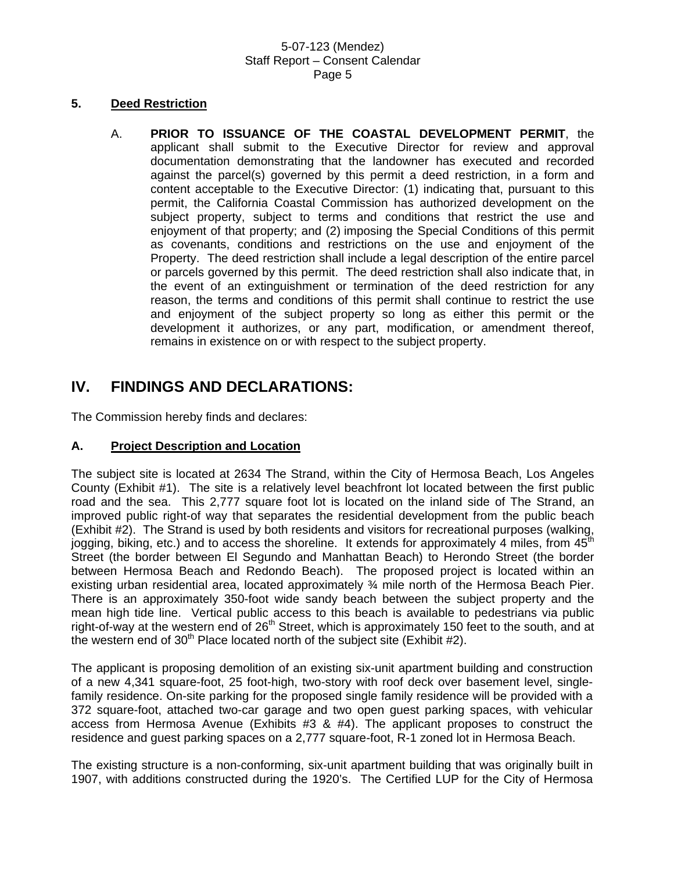### **5. Deed Restriction**

A. **PRIOR TO ISSUANCE OF THE COASTAL DEVELOPMENT PERMIT**, the applicant shall submit to the Executive Director for review and approval documentation demonstrating that the landowner has executed and recorded against the parcel(s) governed by this permit a deed restriction, in a form and content acceptable to the Executive Director: (1) indicating that, pursuant to this permit, the California Coastal Commission has authorized development on the subject property, subject to terms and conditions that restrict the use and enjoyment of that property; and (2) imposing the Special Conditions of this permit as covenants, conditions and restrictions on the use and enjoyment of the Property. The deed restriction shall include a legal description of the entire parcel or parcels governed by this permit. The deed restriction shall also indicate that, in the event of an extinguishment or termination of the deed restriction for any reason, the terms and conditions of this permit shall continue to restrict the use and enjoyment of the subject property so long as either this permit or the development it authorizes, or any part, modification, or amendment thereof, remains in existence on or with respect to the subject property.

## **IV. FINDINGS AND DECLARATIONS:**

The Commission hereby finds and declares:

### **A. Project Description and Location**

The subject site is located at 2634 The Strand, within the City of Hermosa Beach, Los Angeles County (Exhibit #1). The site is a relatively level beachfront lot located between the first public road and the sea. This 2,777 square foot lot is located on the inland side of The Strand, an improved public right-of way that separates the residential development from the public beach (Exhibit #2). The Strand is used by both residents and visitors for recreational purposes (walking, jogging, biking, etc.) and to access the shoreline. It extends for approximately 4 miles, from  $45<sup>th</sup>$ Street (the border between El Segundo and Manhattan Beach) to Herondo Street (the border between Hermosa Beach and Redondo Beach). The proposed project is located within an existing urban residential area, located approximately ¾ mile north of the Hermosa Beach Pier. There is an approximately 350-foot wide sandy beach between the subject property and the mean high tide line. Vertical public access to this beach is available to pedestrians via public right-of-way at the western end of  $26<sup>th</sup>$  Street, which is approximately 150 feet to the south, and at the western end of  $30<sup>th</sup>$  Place located north of the subject site (Exhibit #2).

The applicant is proposing demolition of an existing six-unit apartment building and construction of a new 4,341 square-foot, 25 foot-high, two-story with roof deck over basement level, singlefamily residence. On-site parking for the proposed single family residence will be provided with a 372 square-foot, attached two-car garage and two open guest parking spaces, with vehicular access from Hermosa Avenue (Exhibits #3 & #4). The applicant proposes to construct the residence and guest parking spaces on a 2,777 square-foot, R-1 zoned lot in Hermosa Beach.

The existing structure is a non-conforming, six-unit apartment building that was originally built in 1907, with additions constructed during the 1920's. The Certified LUP for the City of Hermosa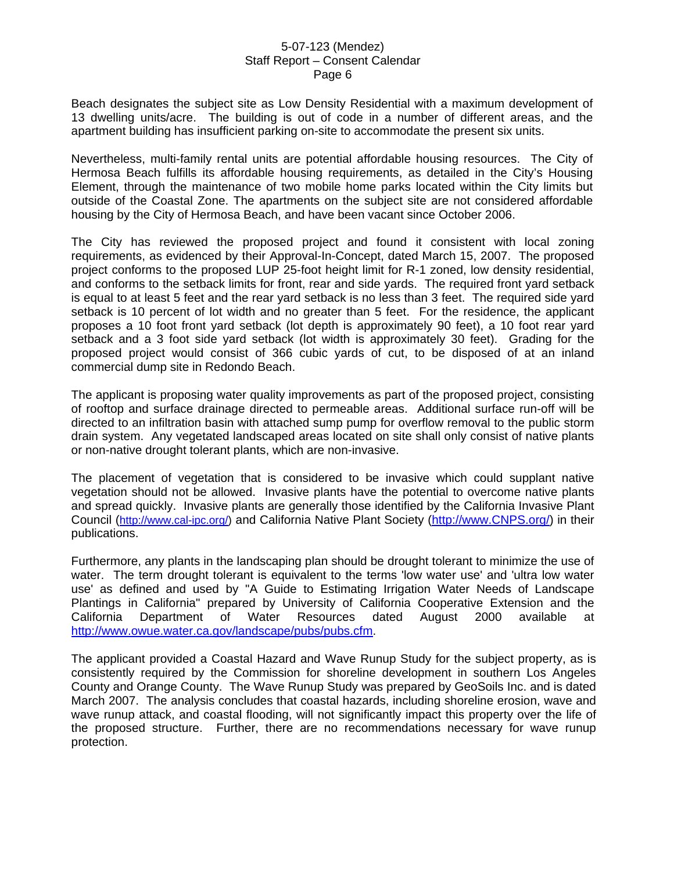Beach designates the subject site as Low Density Residential with a maximum development of 13 dwelling units/acre. The building is out of code in a number of different areas, and the apartment building has insufficient parking on-site to accommodate the present six units.

Nevertheless, multi-family rental units are potential affordable housing resources. The City of Hermosa Beach fulfills its affordable housing requirements, as detailed in the City's Housing Element, through the maintenance of two mobile home parks located within the City limits but outside of the Coastal Zone. The apartments on the subject site are not considered affordable housing by the City of Hermosa Beach, and have been vacant since October 2006.

The City has reviewed the proposed project and found it consistent with local zoning requirements, as evidenced by their Approval-In-Concept, dated March 15, 2007. The proposed project conforms to the proposed LUP 25-foot height limit for R-1 zoned, low density residential, and conforms to the setback limits for front, rear and side yards. The required front yard setback is equal to at least 5 feet and the rear yard setback is no less than 3 feet. The required side yard setback is 10 percent of lot width and no greater than 5 feet. For the residence, the applicant proposes a 10 foot front yard setback (lot depth is approximately 90 feet), a 10 foot rear yard setback and a 3 foot side yard setback (lot width is approximately 30 feet). Grading for the proposed project would consist of 366 cubic yards of cut, to be disposed of at an inland commercial dump site in Redondo Beach.

The applicant is proposing water quality improvements as part of the proposed project, consisting of rooftop and surface drainage directed to permeable areas. Additional surface run-off will be directed to an infiltration basin with attached sump pump for overflow removal to the public storm drain system. Any vegetated landscaped areas located on site shall only consist of native plants or non-native drought tolerant plants, which are non-invasive.

The placement of vegetation that is considered to be invasive which could supplant native vegetation should not be allowed. Invasive plants have the potential to overcome native plants and spread quickly. Invasive plants are generally those identified by the California Invasive Plant Council (<http://www.cal-ipc.org/>) and California Native Plant Society ([http://www.CNPS.org/](http://www.cnps.org/)) in their publications.

Furthermore, any plants in the landscaping plan should be drought tolerant to minimize the use of water. The term drought tolerant is equivalent to the terms 'low water use' and 'ultra low water use' as defined and used by "A Guide to Estimating Irrigation Water Needs of Landscape Plantings in California" prepared by University of California Cooperative Extension and the California Department of Water Resources dated August 2000 available at [http://www.owue.water.ca.gov/landscape/pubs/pubs.cfm.](http://www.owue.water.ca.gov/landscape/pubs/pubs.cfm)

The applicant provided a Coastal Hazard and Wave Runup Study for the subject property, as is consistently required by the Commission for shoreline development in southern Los Angeles County and Orange County. The Wave Runup Study was prepared by GeoSoils Inc. and is dated March 2007. The analysis concludes that coastal hazards, including shoreline erosion, wave and wave runup attack, and coastal flooding, will not significantly impact this property over the life of the proposed structure. Further, there are no recommendations necessary for wave runup protection.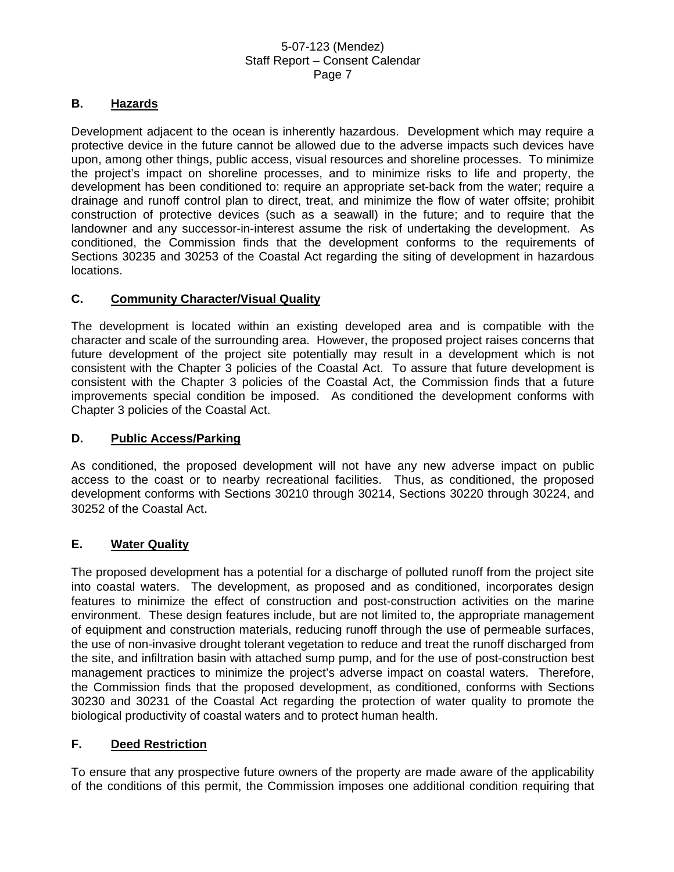### **B. Hazards**

Development adjacent to the ocean is inherently hazardous. Development which may require a protective device in the future cannot be allowed due to the adverse impacts such devices have upon, among other things, public access, visual resources and shoreline processes. To minimize the project's impact on shoreline processes, and to minimize risks to life and property, the development has been conditioned to: require an appropriate set-back from the water; require a drainage and runoff control plan to direct, treat, and minimize the flow of water offsite; prohibit construction of protective devices (such as a seawall) in the future; and to require that the landowner and any successor-in-interest assume the risk of undertaking the development. As conditioned, the Commission finds that the development conforms to the requirements of Sections 30235 and 30253 of the Coastal Act regarding the siting of development in hazardous locations.

## **C. Community Character/Visual Quality**

The development is located within an existing developed area and is compatible with the character and scale of the surrounding area. However, the proposed project raises concerns that future development of the project site potentially may result in a development which is not consistent with the Chapter 3 policies of the Coastal Act. To assure that future development is consistent with the Chapter 3 policies of the Coastal Act, the Commission finds that a future improvements special condition be imposed. As conditioned the development conforms with Chapter 3 policies of the Coastal Act.

### **D. Public Access/Parking**

As conditioned, the proposed development will not have any new adverse impact on public access to the coast or to nearby recreational facilities. Thus, as conditioned, the proposed development conforms with Sections 30210 through 30214, Sections 30220 through 30224, and 30252 of the Coastal Act.

## **E. Water Quality**

The proposed development has a potential for a discharge of polluted runoff from the project site into coastal waters. The development, as proposed and as conditioned, incorporates design features to minimize the effect of construction and post-construction activities on the marine environment. These design features include, but are not limited to, the appropriate management of equipment and construction materials, reducing runoff through the use of permeable surfaces, the use of non-invasive drought tolerant vegetation to reduce and treat the runoff discharged from the site, and infiltration basin with attached sump pump, and for the use of post-construction best management practices to minimize the project's adverse impact on coastal waters. Therefore, the Commission finds that the proposed development, as conditioned, conforms with Sections 30230 and 30231 of the Coastal Act regarding the protection of water quality to promote the biological productivity of coastal waters and to protect human health.

## **F. Deed Restriction**

To ensure that any prospective future owners of the property are made aware of the applicability of the conditions of this permit, the Commission imposes one additional condition requiring that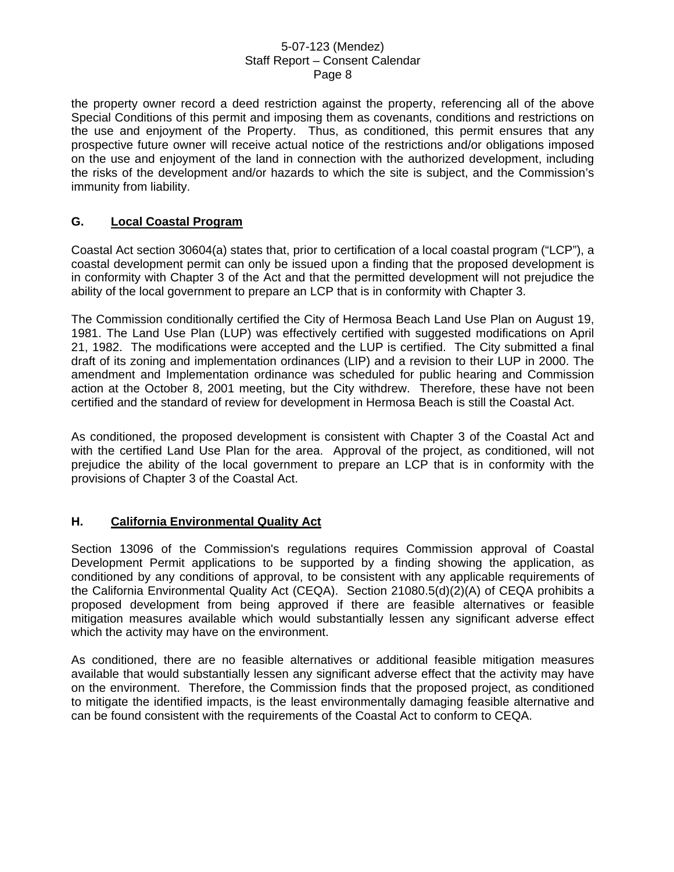the property owner record a deed restriction against the property, referencing all of the above Special Conditions of this permit and imposing them as covenants, conditions and restrictions on the use and enjoyment of the Property. Thus, as conditioned, this permit ensures that any prospective future owner will receive actual notice of the restrictions and/or obligations imposed on the use and enjoyment of the land in connection with the authorized development, including the risks of the development and/or hazards to which the site is subject, and the Commission's immunity from liability.

## **G. Local Coastal Program**

Coastal Act section 30604(a) states that, prior to certification of a local coastal program ("LCP"), a coastal development permit can only be issued upon a finding that the proposed development is in conformity with Chapter 3 of the Act and that the permitted development will not prejudice the ability of the local government to prepare an LCP that is in conformity with Chapter 3.

The Commission conditionally certified the City of Hermosa Beach Land Use Plan on August 19, 1981. The Land Use Plan (LUP) was effectively certified with suggested modifications on April 21, 1982. The modifications were accepted and the LUP is certified. The City submitted a final draft of its zoning and implementation ordinances (LIP) and a revision to their LUP in 2000. The amendment and Implementation ordinance was scheduled for public hearing and Commission action at the October 8, 2001 meeting, but the City withdrew. Therefore, these have not been certified and the standard of review for development in Hermosa Beach is still the Coastal Act.

As conditioned, the proposed development is consistent with Chapter 3 of the Coastal Act and with the certified Land Use Plan for the area. Approval of the project, as conditioned, will not prejudice the ability of the local government to prepare an LCP that is in conformity with the provisions of Chapter 3 of the Coastal Act.

### **H. California Environmental Quality Act**

Section 13096 of the Commission's regulations requires Commission approval of Coastal Development Permit applications to be supported by a finding showing the application, as conditioned by any conditions of approval, to be consistent with any applicable requirements of the California Environmental Quality Act (CEQA). Section 21080.5(d)(2)(A) of CEQA prohibits a proposed development from being approved if there are feasible alternatives or feasible mitigation measures available which would substantially lessen any significant adverse effect which the activity may have on the environment.

As conditioned, there are no feasible alternatives or additional feasible mitigation measures available that would substantially lessen any significant adverse effect that the activity may have on the environment. Therefore, the Commission finds that the proposed project, as conditioned to mitigate the identified impacts, is the least environmentally damaging feasible alternative and can be found consistent with the requirements of the Coastal Act to conform to CEQA.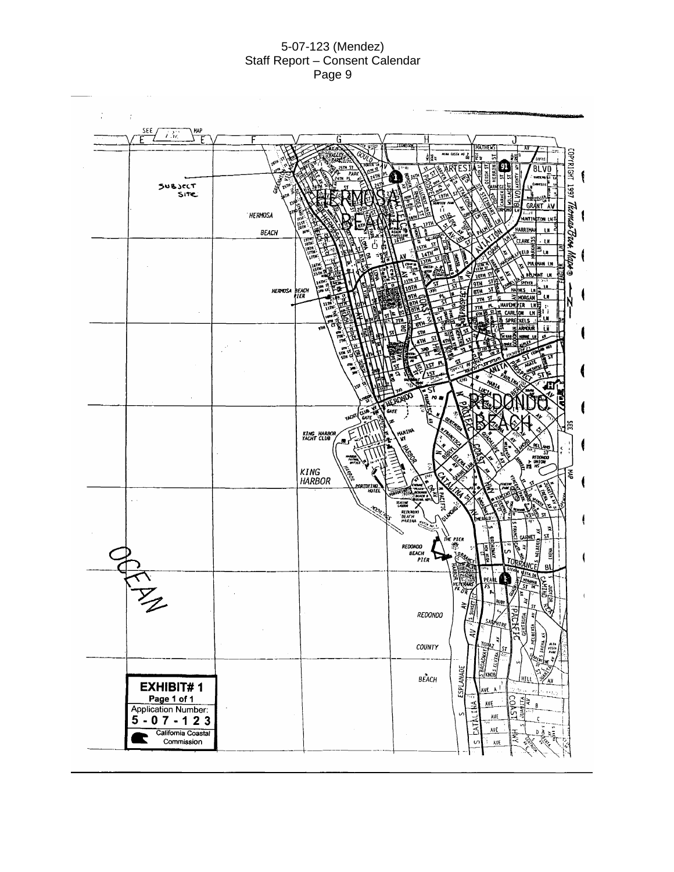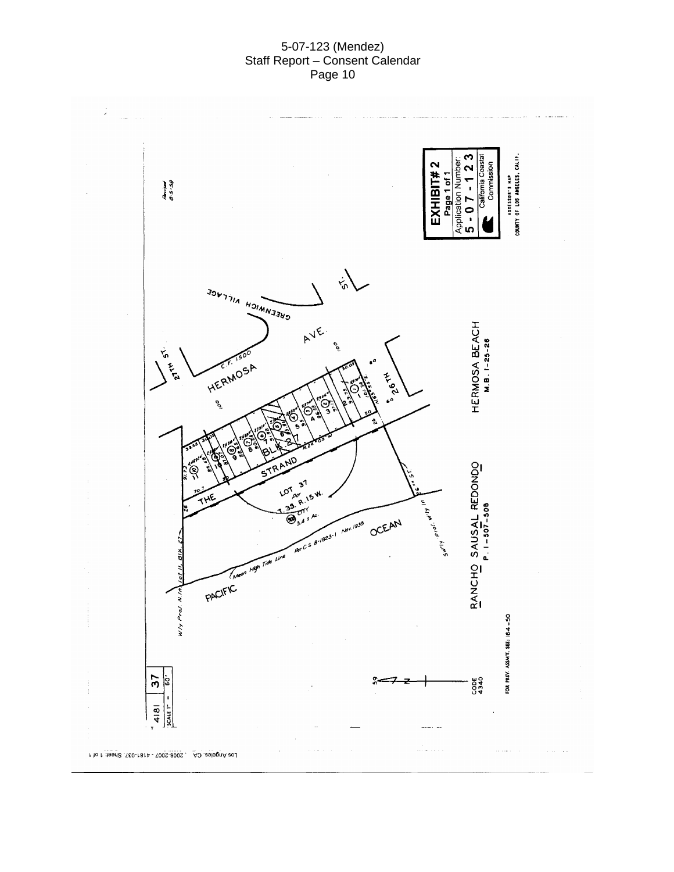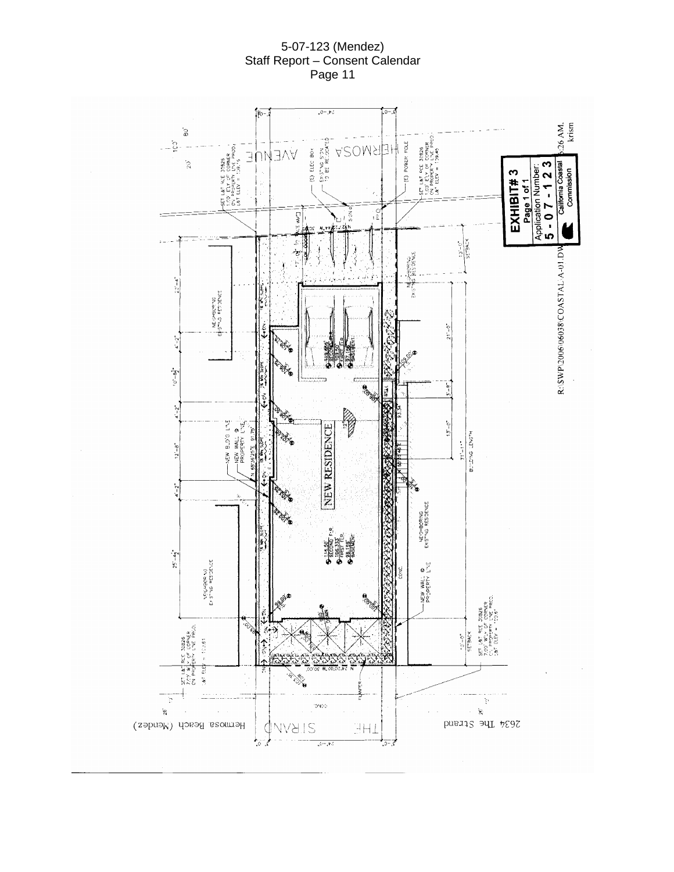